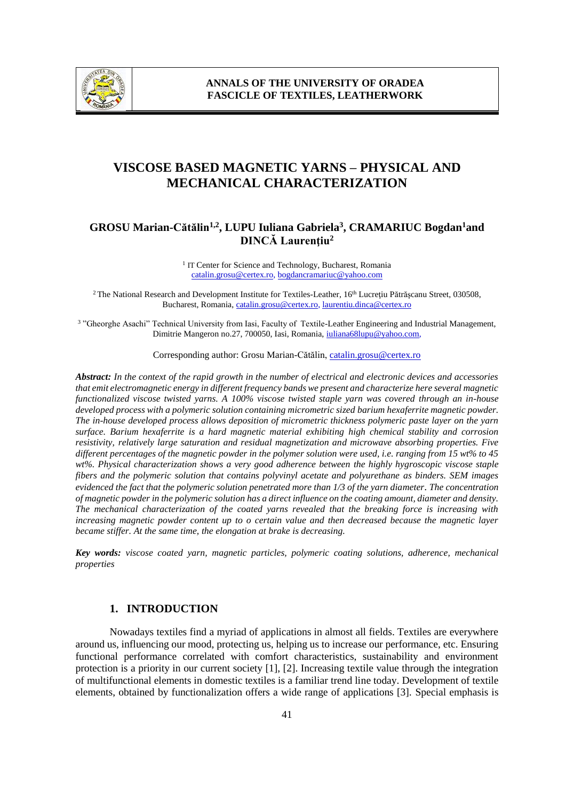

# **VISCOSE BASED MAGNETIC YARNS – PHYSICAL AND MECHANICAL CHARACTERIZATION**

## **GROSU Marian-Cătălin1,2, LUPU Iuliana Gabriela<sup>3</sup> , CRAMARIUC Bogdan<sup>1</sup>and DINCĂ Laurenţiu<sup>2</sup>**

<sup>1</sup> IT Center for Science and Technology, Bucharest, Romania [catalin.grosu@certex.ro,](mailto:catalin.grosu@certex.ro) [bogdancramariuc@yahoo.com](mailto:bogdancramariuc@yahoo.com)

<sup>2</sup> The National Research and Development Institute for Textiles-Leather, 16<sup>th</sup> Lucrețiu Pătrășcanu Street, 030508, Bucharest, Romania[, catalin.grosu@certex.ro,](mailto:catalin.grosu@certex.ro) [laurentiu.dinca@certex.ro](mailto:laurentiu.dinca@certex.ro)

<sup>3</sup> "Gheorghe Asachi" Technical University from Iasi, Faculty of Textile-Leather Engineering and Industrial Management, Dimitrie Mangeron no.27, 700050, Iasi, Romania, [iuliana68lupu@yahoo.com,](mailto:iuliana68lupu@yahoo.com)

Corresponding author: Grosu Marian-Cătălin, [catalin.grosu@certex.ro](mailto:catalin.grosu@certex.ro)

*Abstract: In the context of the rapid growth in the number of electrical and electronic devices and accessories that emit electromagnetic energy in different frequency bands we present and characterize here several magnetic functionalized viscose twisted yarns. A 100% viscose twisted staple yarn was covered through an in-house developed process with a polymeric solution containing micrometric sized barium hexaferrite magnetic powder. The in-house developed process allows deposition of micrometric thickness polymeric paste layer on the yarn surface. Barium hexaferrite is a hard magnetic material exhibiting high chemical stability and corrosion resistivity, relatively large saturation and residual magnetization and microwave absorbing properties. Five different percentages of the magnetic powder in the polymer solution were used, i.e. ranging from 15 wt% to 45 wt%. Physical characterization shows a very good adherence between the highly hygroscopic viscose staple fibers and the polymeric solution that contains polyvinyl acetate and polyurethane as binders. SEM images evidenced the fact that the polymeric solution penetrated more than 1/3 of the yarn diameter*. *The concentration of magnetic powder in the polymeric solution has a direct influence on the coating amount, diameter and density. The mechanical characterization of the coated yarns revealed that the breaking force is increasing with increasing magnetic powder content up to o certain value and then decreased because the magnetic layer became stiffer. At the same time, the elongation at brake is decreasing.*

*Key words: viscose coated yarn, magnetic particles, polymeric coating solutions, adherence, mechanical properties*

#### **1. INTRODUCTION**

Nowadays textiles find a myriad of applications in almost all fields. Textiles are everywhere around us, influencing our mood, protecting us, helping us to increase our performance, etc. Ensuring functional performance correlated with comfort characteristics, sustainability and environment protection is a priority in our current society [1], [2]. Increasing textile value through the integration of multifunctional elements in domestic textiles is a familiar trend line today. Development of textile elements, obtained by functionalization offers a wide range of applications [3]. Special emphasis is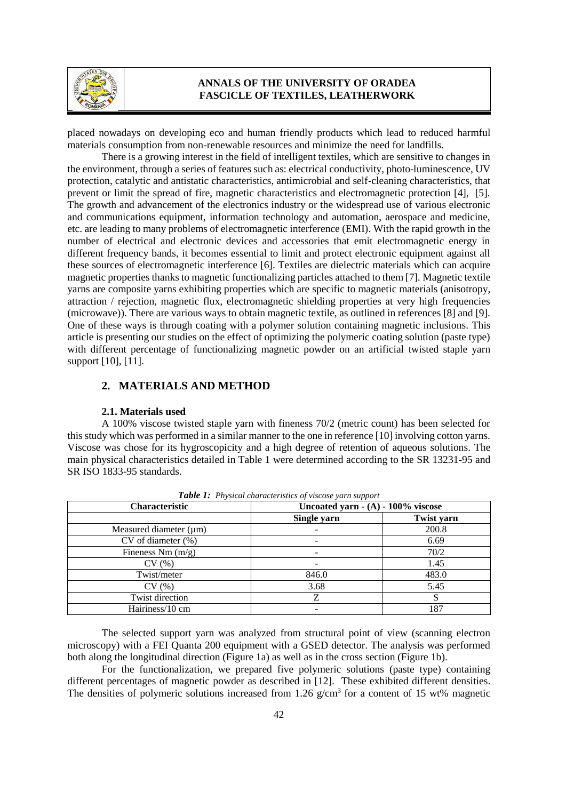

placed nowadays on developing eco and human friendly products which lead to reduced harmful materials consumption from non-renewable resources and minimize the need for landfills.

There is a growing interest in the field of intelligent textiles, which are sensitive to changes in the environment, through a series of features such as: electrical conductivity, photo-luminescence, UV protection, catalytic and antistatic characteristics, antimicrobial and self-cleaning characteristics, that prevent or limit the spread of fire, magnetic characteristics and electromagnetic protection [4], [5]. The growth and advancement of the electronics industry or the widespread use of various electronic and communications equipment, information technology and automation, aerospace and medicine, etc. are leading to many problems of electromagnetic interference (EMI). With the rapid growth in the number of electrical and electronic devices and accessories that emit electromagnetic energy in different frequency bands, it becomes essential to limit and protect electronic equipment against all these sources of electromagnetic interference [6]. Textiles are dielectric materials which can acquire magnetic properties thanks to magnetic functionalizing particles attached to them [7]. Magnetic textile yarns are composite yarns exhibiting properties which are specific to magnetic materials (anisotropy, attraction / rejection, magnetic flux, electromagnetic shielding properties at very high frequencies (microwave)). There are various ways to obtain magnetic textile, as outlined in references [8] and [9]. One of these ways is through coating with a polymer solution containing magnetic inclusions. This article is presenting our studies on the effect of optimizing the polymeric coating solution (paste type) with different percentage of functionalizing magnetic powder on an artificial twisted staple yarn support [10], [11].

## **2. MATERIALS AND METHOD**

#### **2.1. Materials used**

A 100% viscose twisted staple yarn with fineness 70/2 (metric count) has been selected for this study which was performed in a similar manner to the one in reference [10] involving cotton yarns. Viscose was chose for its hygroscopicity and a high degree of retention of aqueous solutions. The main physical characteristics detailed in Table 1 were determined according to the SR 13231-95 and SR ISO 1833-95 standards.

| <b>Twore</b> $\mathbf{r}$ , The process changed in the correct $\mathbf{r}$ and $\mathbf{r}$ and $\mathbf{r}$ |                                       |                   |  |  |  |  |
|---------------------------------------------------------------------------------------------------------------|---------------------------------------|-------------------|--|--|--|--|
| <b>Characteristic</b>                                                                                         | Uncoated yarn $- (A) - 100\%$ viscose |                   |  |  |  |  |
|                                                                                                               | Single yarn                           | <b>Twist yarn</b> |  |  |  |  |
| Measured diameter $(\mu m)$                                                                                   |                                       | 200.8             |  |  |  |  |
| $CV$ of diameter $(\%)$                                                                                       |                                       | 6.69              |  |  |  |  |
| Fineness Nm $(m/g)$                                                                                           |                                       | 70/2              |  |  |  |  |
| CV(%)                                                                                                         |                                       | 1.45              |  |  |  |  |
| Twist/meter                                                                                                   | 846.0                                 | 483.0             |  |  |  |  |
| CV(%)                                                                                                         | 3.68                                  | 5.45              |  |  |  |  |
| Twist direction                                                                                               | Z                                     |                   |  |  |  |  |
| Hairiness/10 cm                                                                                               |                                       | 187               |  |  |  |  |

*Table 1: Physical characteristics of viscose yarn support*

The selected support yarn was analyzed from structural point of view (scanning electron microscopy) with a FEI Quanta 200 equipment with a GSED detector. The analysis was performed both along the longitudinal direction (Figure 1a) as well as in the cross section (Figure 1b).

For the functionalization, we prepared five polymeric solutions (paste type) containing different percentages of magnetic powder as described in [12]. These exhibited different densities. The densities of polymeric solutions increased from 1.26  $g/cm<sup>3</sup>$  for a content of 15 wt% magnetic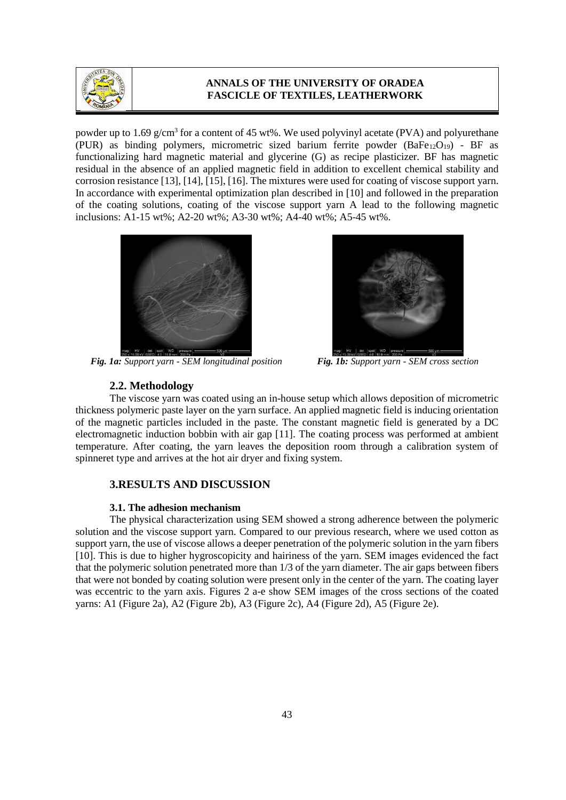

powder up to 1.69  $g/cm<sup>3</sup>$  for a content of 45 wt%. We used polyvinyl acetate (PVA) and polyurethane (PUR) as binding polymers, micrometric sized barium ferrite powder  $(BaFe_{12}O_{19})$  - BF as functionalizing hard magnetic material and glycerine (G) as recipe plasticizer. BF has magnetic residual in the absence of an applied magnetic field in addition to excellent chemical stability and corrosion resistance [13], [14], [15], [16]. The mixtures were used for coating of viscose support yarn. In accordance with experimental optimization plan described in [10] and followed in the preparation of the coating solutions, coating of the viscose support yarn A lead to the following magnetic inclusions: A1-15 wt%; A2-20 wt%; A3-30 wt%; A4-40 wt%; A5-45 wt%.



*Fig. 1a: Support yarn - SEM longitudinal position Fig. 1b: Support yarn - SEM cross section* 



## **2.2. Methodology**

The viscose yarn was coated using an in-house setup which allows deposition of micrometric thickness polymeric paste layer on the yarn surface. An applied magnetic field is inducing orientation of the magnetic particles included in the paste. The constant magnetic field is generated by a DC electromagnetic induction bobbin with air gap [11]. The coating process was performed at ambient temperature. After coating, the yarn leaves the deposition room through a calibration system of spinneret type and arrives at the hot air dryer and fixing system.

#### **3.RESULTS AND DISCUSSION**

#### **3.1. The adhesion mechanism**

The physical characterization using SEM showed a strong adherence between the polymeric solution and the viscose support yarn. Compared to our previous research, where we used cotton as support yarn, the use of viscose allows a deeper penetration of the polymeric solution in the yarn fibers [10]. This is due to higher hygroscopicity and hairiness of the yarn. SEM images evidenced the fact that the polymeric solution penetrated more than 1/3 of the yarn diameter. The air gaps between fibers that were not bonded by coating solution were present only in the center of the yarn. The coating layer was eccentric to the yarn axis. Figures 2 a-e show SEM images of the cross sections of the coated yarns: A1 (Figure 2a), A2 (Figure 2b), A3 (Figure 2c), A4 (Figure 2d), A5 (Figure 2e).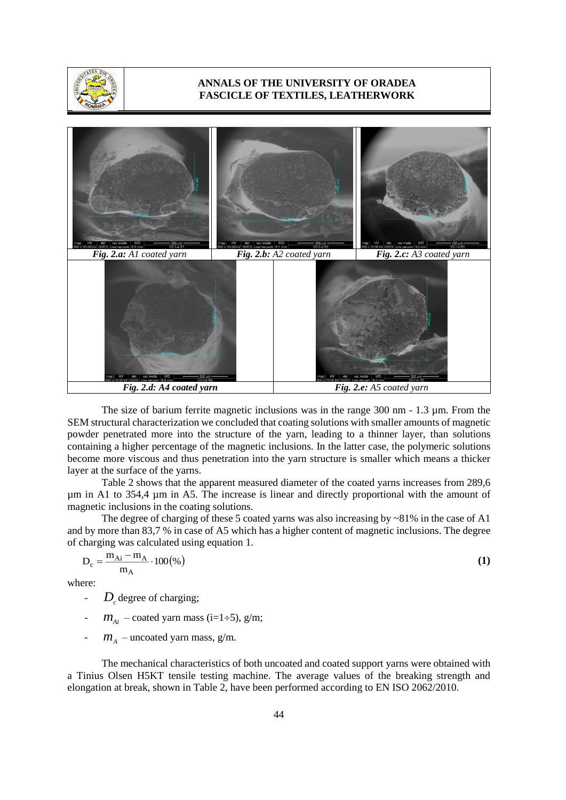



The size of barium ferrite magnetic inclusions was in the range 300 nm - 1.3 µm. From the SEM structural characterization we concluded that coating solutions with smaller amounts of magnetic powder penetrated more into the structure of the yarn, leading to a thinner layer, than solutions containing a higher percentage of the magnetic inclusions. In the latter case, the polymeric solutions become more viscous and thus penetration into the yarn structure is smaller which means a thicker layer at the surface of the yarns.

Table 2 shows that the apparent measured diameter of the coated yarns increases from 289,6 µm in A1 to 354,4 µm in A5. The increase is linear and directly proportional with the amount of magnetic inclusions in the coating solutions.

The degree of charging of these 5 coated yarns was also increasing by ~81% in the case of A1 and by more than 83,7 % in case of A5 which has a higher content of magnetic inclusions. The degree of charging was calculated using equation 1.

$$
D_c = \frac{m_{Ai} - m_A}{m_A} \cdot 100\%
$$
 (1)

where:

- $D_c$  degree of charging;
- $m_{Ai}$  coated yarn mass (i=1÷5), g/m;
- $m_A$  uncoated yarn mass, g/m.

The mechanical characteristics of both uncoated and coated support yarns were obtained with a Tinius Olsen H5KT tensile testing machine. The average values of the breaking strength and elongation at break, shown in Table 2, have been performed according to EN ISO 2062/2010.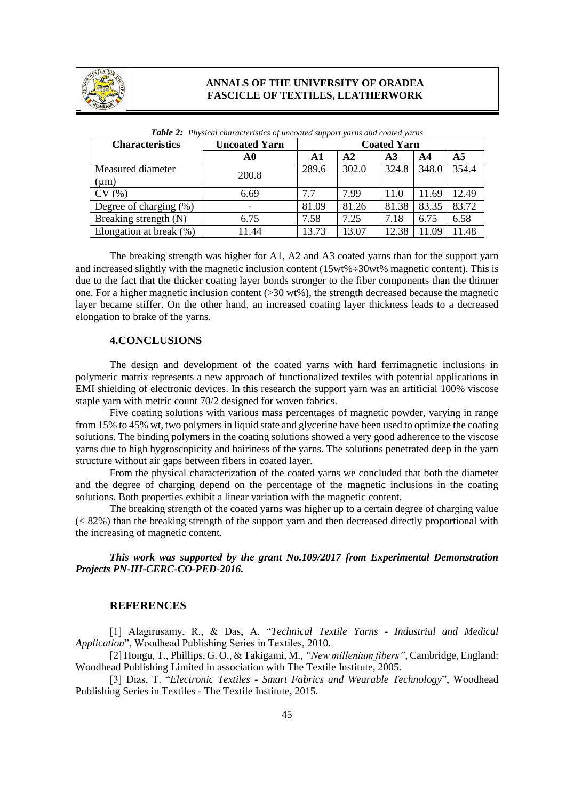

| <b>Characteristics</b>     | <b>Uncoated Yarn</b> | . <b>. .</b> .<br><b>Coated Yarn</b> |       |               |       |                |
|----------------------------|----------------------|--------------------------------------|-------|---------------|-------|----------------|
|                            | A0                   | A1                                   | A2    | $\mathbf{A}3$ | AA    | A <sub>5</sub> |
| Measured diameter          | 200.8                | 289.6                                | 302.0 | 324.8         | 348.0 | 354.4          |
| $(\mu m)$                  |                      |                                      |       |               |       |                |
| CV(%)                      | 6.69                 | 7.7                                  | 7.99  | 11.0          | 11.69 | 12.49          |
| Degree of charging (%)     | -                    | 81.09                                | 81.26 | 81.38         | 83.35 | 83.72          |
| Breaking strength (N)      | 6.75                 | 7.58                                 | 7.25  | 7.18          | 6.75  | 6.58           |
| Elongation at break $(\%)$ | 11.44                | 13.73                                | 13.07 | 12.38         | 11.09 | 11.48          |

*Table 2: Physical characteristics of uncoated support yarns and coated yarns*

The breaking strength was higher for A1, A2 and A3 coated yarns than for the support yarn and increased slightly with the magnetic inclusion content  $(15wt% \div 30wt%$  magnetic content). This is due to the fact that the thicker coating layer bonds stronger to the fiber components than the thinner one. For a higher magnetic inclusion content  $(>30 \text{ wt\%})$ , the strength decreased because the magnetic layer became stiffer. On the other hand, an increased coating layer thickness leads to a decreased elongation to brake of the yarns.

## **4.CONCLUSIONS**

The design and development of the coated yarns with hard ferrimagnetic inclusions in polymeric matrix represents a new approach of functionalized textiles with potential applications in EMI shielding of electronic devices. In this research the support yarn was an artificial 100% viscose staple yarn with metric count 70/2 designed for woven fabrics.

Five coating solutions with various mass percentages of magnetic powder, varying in range from 15% to 45% wt, two polymers in liquid state and glycerine have been used to optimize the coating solutions. The binding polymers in the coating solutions showed a very good adherence to the viscose yarns due to high hygroscopicity and hairiness of the yarns. The solutions penetrated deep in the yarn structure without air gaps between fibers in coated layer.

From the physical characterization of the coated yarns we concluded that both the diameter and the degree of charging depend on the percentage of the magnetic inclusions in the coating solutions. Both properties exhibit a linear variation with the magnetic content.

The breaking strength of the coated yarns was higher up to a certain degree of charging value (< 82%) than the breaking strength of the support yarn and then decreased directly proportional with the increasing of magnetic content.

*This work was supported by the grant No.109/2017 from Experimental Demonstration Projects PN-III-CERC-CO-PED-2016.*

#### **REFERENCES**

[1] Alagirusamy, R., & Das, A. "*Technical Textile Yarns - Industrial and Medical Application*", Woodhead Publishing Series in Textiles, 2010.

[2] Hongu, T., Phillips, G. O., & Takigami, M., *"New millenium fibers"*, Cambridge, England: Woodhead Publishing Limited in association with The Textile Institute, 2005.

[3] Dias, T. "*Electronic Textiles - Smart Fabrics and Wearable Technology*", Woodhead Publishing Series in Textiles - The Textile Institute, 2015.